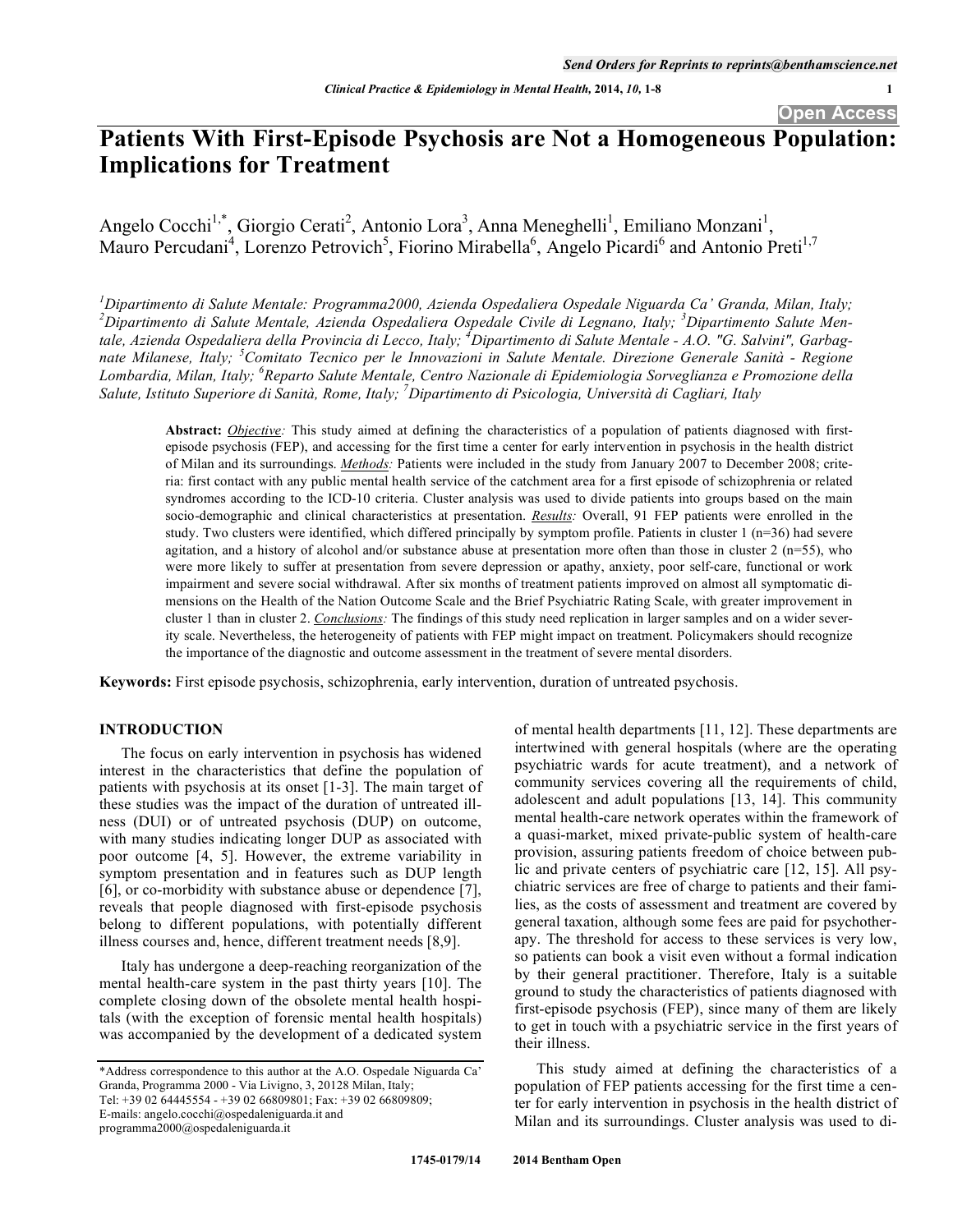# **Patients With First-Episode Psychosis are Not a Homogeneous Population: Implications for Treatment**

Angelo Cocchi<sup>1,\*</sup>, Giorgio Cerati<sup>2</sup>, Antonio Lora<sup>3</sup>, Anna Meneghelli<sup>1</sup>, Emiliano Monzani<sup>1</sup>, Mauro Percudani<sup>4</sup>, Lorenzo Petrovich<sup>5</sup>, Fiorino Mirabella<sup>6</sup>, Angelo Picardi<sup>6</sup> and Antonio Preti<sup>1,7</sup>

*1 Dipartimento di Salute Mentale: Programma2000, Azienda Ospedaliera Ospedale Niguarda Ca' Granda, Milan, Italy;*  <sup>2</sup> Dipartimento di Salute Mentale, Azienda Ospedaliera Ospedale Civile di Legnano, Italy; <sup>3</sup> Dipartimento Salute Men*tale, Azienda Ospedaliera della Provincia di Lecco, Italy; <sup>4</sup> Dipartimento di Salute Mentale - A.O. "G. Salvini", Garbagnate Milanese, Italy; <sup>5</sup> Comitato Tecnico per le Innovazioni in Salute Mentale. Direzione Generale Sanità - Regione Lombardia, Milan, Italy; <sup>6</sup> Reparto Salute Mentale, Centro Nazionale di Epidemiologia Sorveglianza e Promozione della Salute, Istituto Superiore di Sanità, Rome, Italy; 7 Dipartimento di Psicologia, Università di Cagliari, Italy* 

**Abstract:** *Objective:* This study aimed at defining the characteristics of a population of patients diagnosed with firstepisode psychosis (FEP), and accessing for the first time a center for early intervention in psychosis in the health district of Milan and its surroundings. *Methods:* Patients were included in the study from January 2007 to December 2008; criteria: first contact with any public mental health service of the catchment area for a first episode of schizophrenia or related syndromes according to the ICD-10 criteria. Cluster analysis was used to divide patients into groups based on the main socio-demographic and clinical characteristics at presentation. *Results:* Overall, 91 FEP patients were enrolled in the study. Two clusters were identified, which differed principally by symptom profile. Patients in cluster  $1 \text{ (n=36)}$  had severe agitation, and a history of alcohol and/or substance abuse at presentation more often than those in cluster  $2 \text{ (n=55)}$ , who were more likely to suffer at presentation from severe depression or apathy, anxiety, poor self-care, functional or work impairment and severe social withdrawal. After six months of treatment patients improved on almost all symptomatic dimensions on the Health of the Nation Outcome Scale and the Brief Psychiatric Rating Scale, with greater improvement in cluster 1 than in cluster 2. *Conclusions:* The findings of this study need replication in larger samples and on a wider severity scale. Nevertheless, the heterogeneity of patients with FEP might impact on treatment. Policymakers should recognize the importance of the diagnostic and outcome assessment in the treatment of severe mental disorders.

**Keywords:** First episode psychosis, schizophrenia, early intervention, duration of untreated psychosis.

# **INTRODUCTION**

The focus on early intervention in psychosis has widened interest in the characteristics that define the population of patients with psychosis at its onset [1-3]. The main target of these studies was the impact of the duration of untreated illness (DUI) or of untreated psychosis (DUP) on outcome, with many studies indicating longer DUP as associated with poor outcome [4, 5]. However, the extreme variability in symptom presentation and in features such as DUP length [6], or co-morbidity with substance abuse or dependence [7], reveals that people diagnosed with first-episode psychosis belong to different populations, with potentially different illness courses and, hence, different treatment needs [8,9].

Italy has undergone a deep-reaching reorganization of the mental health-care system in the past thirty years [10]. The complete closing down of the obsolete mental health hospitals (with the exception of forensic mental health hospitals) was accompanied by the development of a dedicated system of mental health departments [11, 12]. These departments are intertwined with general hospitals (where are the operating psychiatric wards for acute treatment), and a network of community services covering all the requirements of child, adolescent and adult populations [13, 14]. This community mental health-care network operates within the framework of a quasi-market, mixed private-public system of health-care provision, assuring patients freedom of choice between public and private centers of psychiatric care [12, 15]. All psychiatric services are free of charge to patients and their families, as the costs of assessment and treatment are covered by general taxation, although some fees are paid for psychotherapy. The threshold for access to these services is very low, so patients can book a visit even without a formal indication by their general practitioner. Therefore, Italy is a suitable ground to study the characteristics of patients diagnosed with first-episode psychosis (FEP), since many of them are likely to get in touch with a psychiatric service in the first years of their illness.

This study aimed at defining the characteristics of a population of FEP patients accessing for the first time a center for early intervention in psychosis in the health district of Milan and its surroundings. Cluster analysis was used to di-

<sup>\*</sup>Address correspondence to this author at the A.O. Ospedale Niguarda Ca' Granda, Programma 2000 - Via Livigno, 3, 20128 Milan, Italy; Tel: +39 02 64445554 - +39 02 66809801; Fax: +39 02 66809809; E-mails: angelo.cocchi@ospedaleniguarda.it and programma2000@ospedaleniguarda.it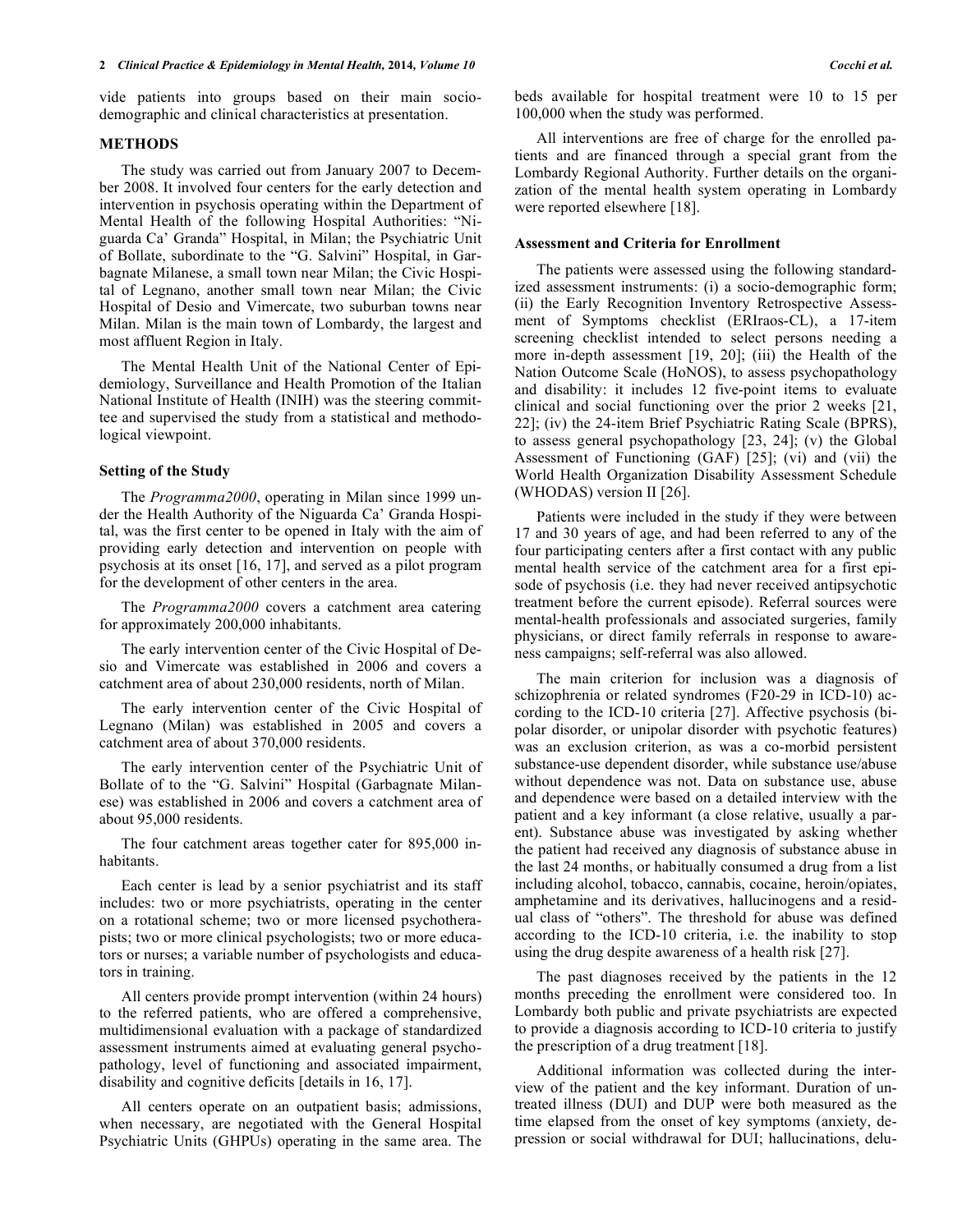vide patients into groups based on their main sociodemographic and clinical characteristics at presentation.

# **METHODS**

The study was carried out from January 2007 to December 2008. It involved four centers for the early detection and intervention in psychosis operating within the Department of Mental Health of the following Hospital Authorities: "Niguarda Ca' Granda" Hospital, in Milan; the Psychiatric Unit of Bollate, subordinate to the "G. Salvini" Hospital, in Garbagnate Milanese, a small town near Milan; the Civic Hospital of Legnano, another small town near Milan; the Civic Hospital of Desio and Vimercate, two suburban towns near Milan. Milan is the main town of Lombardy, the largest and most affluent Region in Italy.

The Mental Health Unit of the National Center of Epidemiology, Surveillance and Health Promotion of the Italian National Institute of Health (INIH) was the steering committee and supervised the study from a statistical and methodological viewpoint.

# **Setting of the Study**

The *Programma2000*, operating in Milan since 1999 under the Health Authority of the Niguarda Ca' Granda Hospital, was the first center to be opened in Italy with the aim of providing early detection and intervention on people with psychosis at its onset [16, 17], and served as a pilot program for the development of other centers in the area.

The *Programma2000* covers a catchment area catering for approximately 200,000 inhabitants.

The early intervention center of the Civic Hospital of Desio and Vimercate was established in 2006 and covers a catchment area of about 230,000 residents, north of Milan.

The early intervention center of the Civic Hospital of Legnano (Milan) was established in 2005 and covers a catchment area of about 370,000 residents.

The early intervention center of the Psychiatric Unit of Bollate of to the "G. Salvini" Hospital (Garbagnate Milanese) was established in 2006 and covers a catchment area of about 95,000 residents.

The four catchment areas together cater for 895,000 inhabitants.

Each center is lead by a senior psychiatrist and its staff includes: two or more psychiatrists, operating in the center on a rotational scheme; two or more licensed psychotherapists; two or more clinical psychologists; two or more educators or nurses; a variable number of psychologists and educators in training.

All centers provide prompt intervention (within 24 hours) to the referred patients, who are offered a comprehensive, multidimensional evaluation with a package of standardized assessment instruments aimed at evaluating general psychopathology, level of functioning and associated impairment, disability and cognitive deficits [details in 16, 17].

All centers operate on an outpatient basis; admissions, when necessary, are negotiated with the General Hospital Psychiatric Units (GHPUs) operating in the same area. The beds available for hospital treatment were 10 to 15 per 100,000 when the study was performed.

All interventions are free of charge for the enrolled patients and are financed through a special grant from the Lombardy Regional Authority. Further details on the organization of the mental health system operating in Lombardy were reported elsewhere [18].

# **Assessment and Criteria for Enrollment**

The patients were assessed using the following standardized assessment instruments: (i) a socio-demographic form; (ii) the Early Recognition Inventory Retrospective Assessment of Symptoms checklist (ERIraos-CL), a 17-item screening checklist intended to select persons needing a more in-depth assessment [19, 20]; (iii) the Health of the Nation Outcome Scale (HoNOS), to assess psychopathology and disability: it includes 12 five-point items to evaluate clinical and social functioning over the prior 2 weeks [21, 22]; (iv) the 24-item Brief Psychiatric Rating Scale (BPRS), to assess general psychopathology [23, 24]; (v) the Global Assessment of Functioning (GAF) [25]; (vi) and (vii) the World Health Organization Disability Assessment Schedule (WHODAS) version II [26].

Patients were included in the study if they were between 17 and 30 years of age, and had been referred to any of the four participating centers after a first contact with any public mental health service of the catchment area for a first episode of psychosis (i.e. they had never received antipsychotic treatment before the current episode). Referral sources were mental-health professionals and associated surgeries, family physicians, or direct family referrals in response to awareness campaigns; self-referral was also allowed.

The main criterion for inclusion was a diagnosis of schizophrenia or related syndromes (F20-29 in ICD-10) according to the ICD-10 criteria [27]. Affective psychosis (bipolar disorder, or unipolar disorder with psychotic features) was an exclusion criterion, as was a co-morbid persistent substance-use dependent disorder, while substance use/abuse without dependence was not. Data on substance use, abuse and dependence were based on a detailed interview with the patient and a key informant (a close relative, usually a parent). Substance abuse was investigated by asking whether the patient had received any diagnosis of substance abuse in the last 24 months, or habitually consumed a drug from a list including alcohol, tobacco, cannabis, cocaine, heroin/opiates, amphetamine and its derivatives, hallucinogens and a residual class of "others". The threshold for abuse was defined according to the ICD-10 criteria, i.e. the inability to stop using the drug despite awareness of a health risk [27].

The past diagnoses received by the patients in the 12 months preceding the enrollment were considered too. In Lombardy both public and private psychiatrists are expected to provide a diagnosis according to ICD-10 criteria to justify the prescription of a drug treatment [18].

Additional information was collected during the interview of the patient and the key informant. Duration of untreated illness (DUI) and DUP were both measured as the time elapsed from the onset of key symptoms (anxiety, depression or social withdrawal for DUI; hallucinations, delu-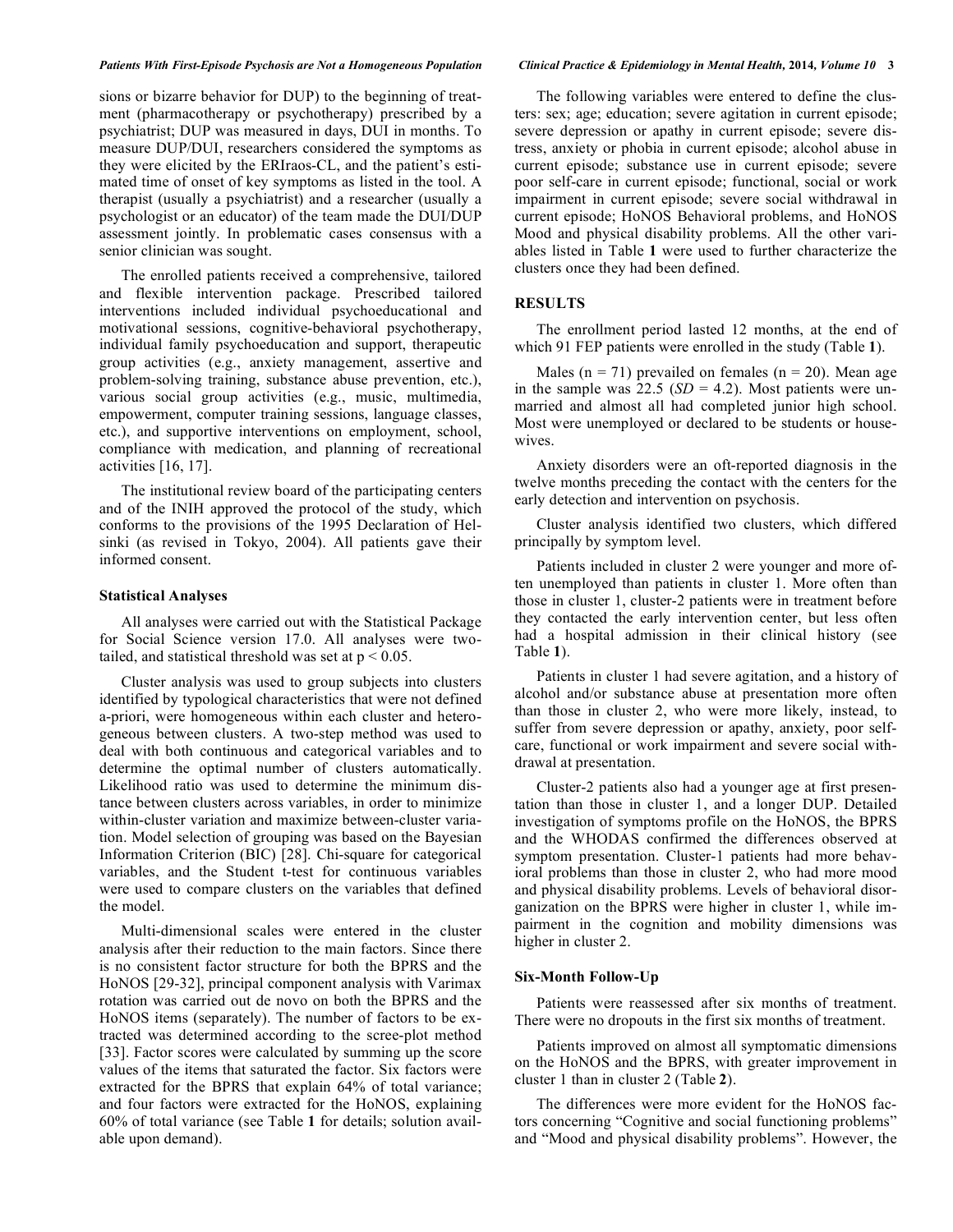# *Patients With First-Episode Psychosis are Not a Homogeneous Population Clinical Practice & Epidemiology in Mental Health,* **2014***, Volume 10* **3**

sions or bizarre behavior for DUP) to the beginning of treatment (pharmacotherapy or psychotherapy) prescribed by a psychiatrist; DUP was measured in days, DUI in months. To measure DUP/DUI, researchers considered the symptoms as they were elicited by the ERIraos-CL, and the patient's estimated time of onset of key symptoms as listed in the tool. A therapist (usually a psychiatrist) and a researcher (usually a psychologist or an educator) of the team made the DUI/DUP assessment jointly. In problematic cases consensus with a senior clinician was sought.

The enrolled patients received a comprehensive, tailored and flexible intervention package. Prescribed tailored interventions included individual psychoeducational and motivational sessions, cognitive-behavioral psychotherapy, individual family psychoeducation and support, therapeutic group activities (e.g., anxiety management, assertive and problem-solving training, substance abuse prevention, etc.), various social group activities (e.g., music, multimedia, empowerment, computer training sessions, language classes, etc.), and supportive interventions on employment, school, compliance with medication, and planning of recreational activities [16, 17].

The institutional review board of the participating centers and of the INIH approved the protocol of the study, which conforms to the provisions of the 1995 Declaration of Helsinki (as revised in Tokyo, 2004). All patients gave their informed consent.

## **Statistical Analyses**

All analyses were carried out with the Statistical Package for Social Science version 17.0. All analyses were twotailed, and statistical threshold was set at  $p < 0.05$ .

Cluster analysis was used to group subjects into clusters identified by typological characteristics that were not defined a-priori, were homogeneous within each cluster and heterogeneous between clusters. A two-step method was used to deal with both continuous and categorical variables and to determine the optimal number of clusters automatically. Likelihood ratio was used to determine the minimum distance between clusters across variables, in order to minimize within-cluster variation and maximize between-cluster variation. Model selection of grouping was based on the Bayesian Information Criterion (BIC) [28]. Chi-square for categorical variables, and the Student t-test for continuous variables were used to compare clusters on the variables that defined the model.

Multi-dimensional scales were entered in the cluster analysis after their reduction to the main factors. Since there is no consistent factor structure for both the BPRS and the HoNOS [29-32], principal component analysis with Varimax rotation was carried out de novo on both the BPRS and the HoNOS items (separately). The number of factors to be extracted was determined according to the scree-plot method [33]. Factor scores were calculated by summing up the score values of the items that saturated the factor. Six factors were extracted for the BPRS that explain 64% of total variance; and four factors were extracted for the HoNOS, explaining 60% of total variance (see Table **1** for details; solution available upon demand).

The following variables were entered to define the clusters: sex; age; education; severe agitation in current episode; severe depression or apathy in current episode; severe distress, anxiety or phobia in current episode; alcohol abuse in current episode; substance use in current episode; severe poor self-care in current episode; functional, social or work impairment in current episode; severe social withdrawal in current episode; HoNOS Behavioral problems, and HoNOS Mood and physical disability problems. All the other variables listed in Table **1** were used to further characterize the clusters once they had been defined.

# **RESULTS**

The enrollment period lasted 12 months, at the end of which 91 FEP patients were enrolled in the study (Table **1**).

Males ( $n = 71$ ) prevailed on females ( $n = 20$ ). Mean age in the sample was  $22.5$  (*SD* = 4.2). Most patients were unmarried and almost all had completed junior high school. Most were unemployed or declared to be students or housewives.

Anxiety disorders were an oft-reported diagnosis in the twelve months preceding the contact with the centers for the early detection and intervention on psychosis.

Cluster analysis identified two clusters, which differed principally by symptom level.

Patients included in cluster 2 were younger and more often unemployed than patients in cluster 1. More often than those in cluster 1, cluster-2 patients were in treatment before they contacted the early intervention center, but less often had a hospital admission in their clinical history (see Table **1**).

Patients in cluster 1 had severe agitation, and a history of alcohol and/or substance abuse at presentation more often than those in cluster 2, who were more likely, instead, to suffer from severe depression or apathy, anxiety, poor selfcare, functional or work impairment and severe social withdrawal at presentation.

Cluster-2 patients also had a younger age at first presentation than those in cluster 1, and a longer DUP. Detailed investigation of symptoms profile on the HoNOS, the BPRS and the WHODAS confirmed the differences observed at symptom presentation. Cluster-1 patients had more behavioral problems than those in cluster 2, who had more mood and physical disability problems. Levels of behavioral disorganization on the BPRS were higher in cluster 1, while impairment in the cognition and mobility dimensions was higher in cluster 2.

# **Six-Month Follow-Up**

Patients were reassessed after six months of treatment. There were no dropouts in the first six months of treatment.

Patients improved on almost all symptomatic dimensions on the HoNOS and the BPRS, with greater improvement in cluster 1 than in cluster 2 (Table **2**).

The differences were more evident for the HoNOS factors concerning "Cognitive and social functioning problems" and "Mood and physical disability problems". However, the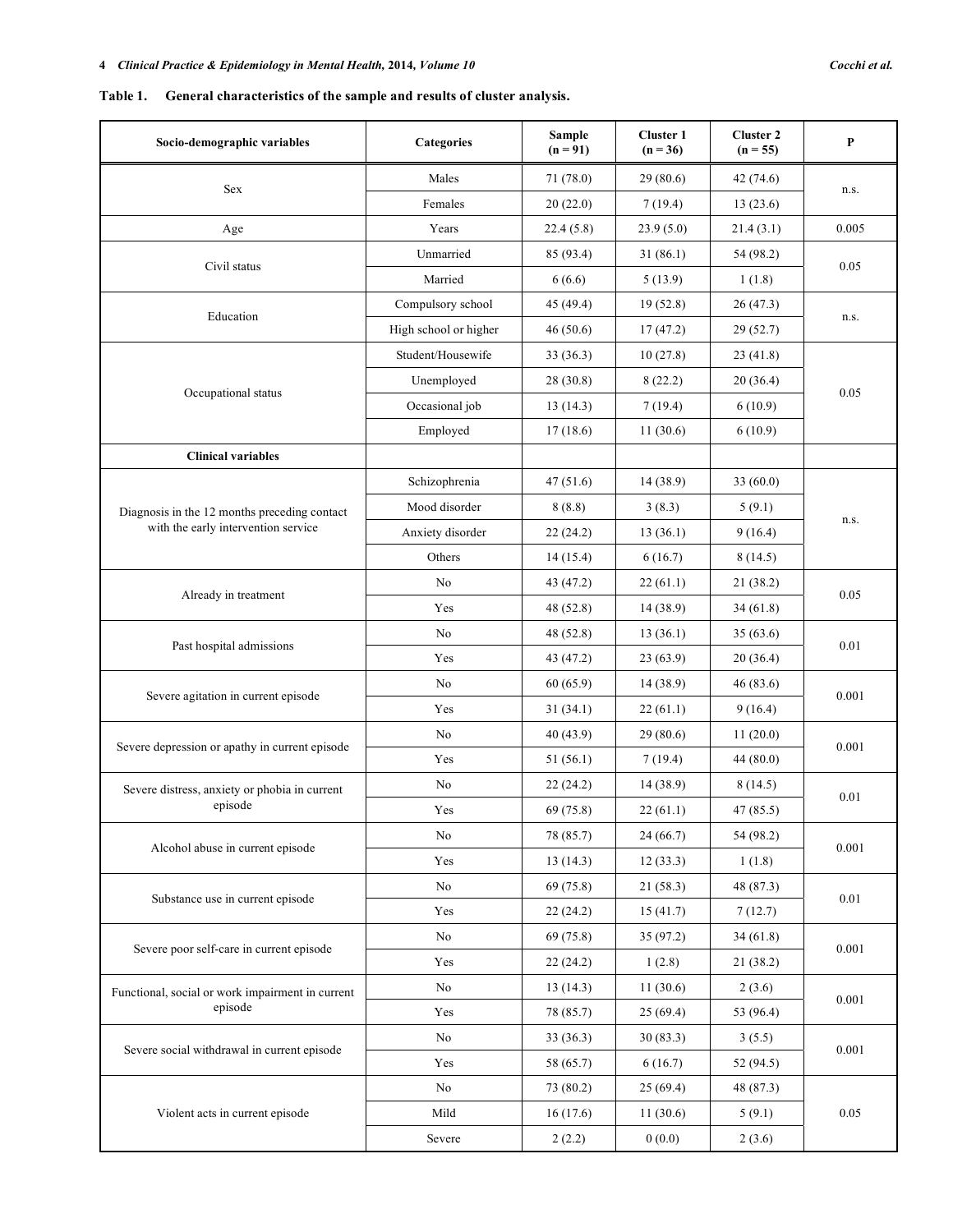# **Table 1. General characteristics of the sample and results of cluster analysis.**

| Socio-demographic variables                      | Categories            | Sample<br>$(n = 91)$ | <b>Cluster 1</b><br>$(n = 36)$ | <b>Cluster 2</b><br>$(n = 55)$ | $\mathbf P$ |
|--------------------------------------------------|-----------------------|----------------------|--------------------------------|--------------------------------|-------------|
| Sex                                              | Males                 | 71 (78.0)            | 29(80.6)                       | 42 (74.6)                      | n.s.        |
|                                                  | Females               | 20(22.0)             | 7(19.4)                        | 13(23.6)                       |             |
| Age                                              | Years                 | 22.4(5.8)            | 23.9(5.0)                      | 21.4(3.1)                      | 0.005       |
| Civil status                                     | Unmarried             | 85 (93.4)            | 31(86.1)                       | 54 (98.2)                      | 0.05        |
|                                                  | Married               | 6(6.6)               | 5(13.9)                        | 1(1.8)                         |             |
| Education                                        | Compulsory school     | 45 (49.4)            | 19(52.8)                       | 26(47.3)                       | n.s.        |
|                                                  | High school or higher | 46 (50.6)            | 17(47.2)                       | 29 (52.7)                      |             |
|                                                  | Student/Housewife     | 33(36.3)             | 10(27.8)                       | 23(41.8)                       |             |
|                                                  | Unemployed            | 28 (30.8)            | 8(22.2)                        | 20(36.4)                       |             |
| Occupational status                              | Occasional job        | 13(14.3)             | 7(19.4)                        | 6(10.9)                        | 0.05        |
|                                                  | Employed              | 17(18.6)             | 11(30.6)                       | 6(10.9)                        |             |
| <b>Clinical variables</b>                        |                       |                      |                                |                                |             |
|                                                  | Schizophrenia         | 47(51.6)             | 14 (38.9)                      | 33(60.0)                       |             |
| Diagnosis in the 12 months preceding contact     | Mood disorder         | 8(8.8)               | 3(8.3)                         | 5(9.1)                         |             |
| with the early intervention service              | Anxiety disorder      | 22(24.2)             | 13(36.1)                       | 9(16.4)                        | n.s.        |
|                                                  | Others                | 14(15.4)             | 6(16.7)                        | 8(14.5)                        |             |
|                                                  | No                    | 43 (47.2)            | 22(61.1)                       | 21 (38.2)                      | 0.05        |
| Already in treatment                             | Yes                   | 48 (52.8)            | 14(38.9)                       | 34(61.8)                       |             |
|                                                  | No                    | 48 (52.8)            | 13(36.1)                       | 35(63.6)                       | 0.01        |
| Past hospital admissions                         | Yes                   | 43 (47.2)            | 23(63.9)                       | 20(36.4)                       |             |
|                                                  | No                    | 60(65.9)             | 14(38.9)                       | 46(83.6)                       | 0.001       |
| Severe agitation in current episode              | Yes                   | 31(34.1)             | 22(61.1)                       | 9(16.4)                        |             |
|                                                  | No                    | 40 (43.9)            | 29(80.6)                       | 11(20.0)                       | 0.001       |
| Severe depression or apathy in current episode   | Yes                   | 51(56.1)             | 7(19.4)                        | 44(80.0)                       |             |
| Severe distress, anxiety or phobia in current    | No                    | 22(24.2)             | 14 (38.9)                      | 8(14.5)                        | 0.01        |
| episode                                          | Yes                   | 69 (75.8)            | 22(61.1)                       | 47 (85.5)                      |             |
| Alcohol abuse in current episode                 | No                    | 78 (85.7)            | 24 (66.7)                      | 54 (98.2)                      |             |
|                                                  | Yes                   | 13(14.3)             | 12(33.3)                       | 1(1.8)                         | 0.001       |
|                                                  | No                    | 69(75.8)             | 21(58.3)                       | 48 (87.3)                      |             |
| Substance use in current episode                 | Yes                   | 22(24.2)             | 15(41.7)                       | 7(12.7)                        | $0.01\,$    |
| Severe poor self-care in current episode         | No                    | 69 (75.8)            | 35 (97.2)                      | 34(61.8)                       | 0.001       |
|                                                  | Yes                   | 22(24.2)             | 1(2.8)                         | 21(38.2)                       |             |
| Functional, social or work impairment in current | No                    | 13(14.3)             | 11(30.6)                       | 2(3.6)                         | 0.001       |
| episode                                          | Yes                   | 78 (85.7)            | 25(69.4)                       | 53 (96.4)                      |             |
| Severe social withdrawal in current episode      | No                    | 33(36.3)             | 30(83.3)                       | 3(5.5)                         | 0.001       |
|                                                  | Yes                   | 58 (65.7)            | 6(16.7)                        | 52 (94.5)                      |             |
|                                                  | No                    | 73 (80.2)            | 25(69.4)                       | 48 (87.3)                      |             |
| Violent acts in current episode                  | Mild                  | 16(17.6)             | 11(30.6)                       | 5(9.1)                         | 0.05        |
|                                                  | Severe                | 2(2.2)               | 0(0.0)                         | 2(3.6)                         |             |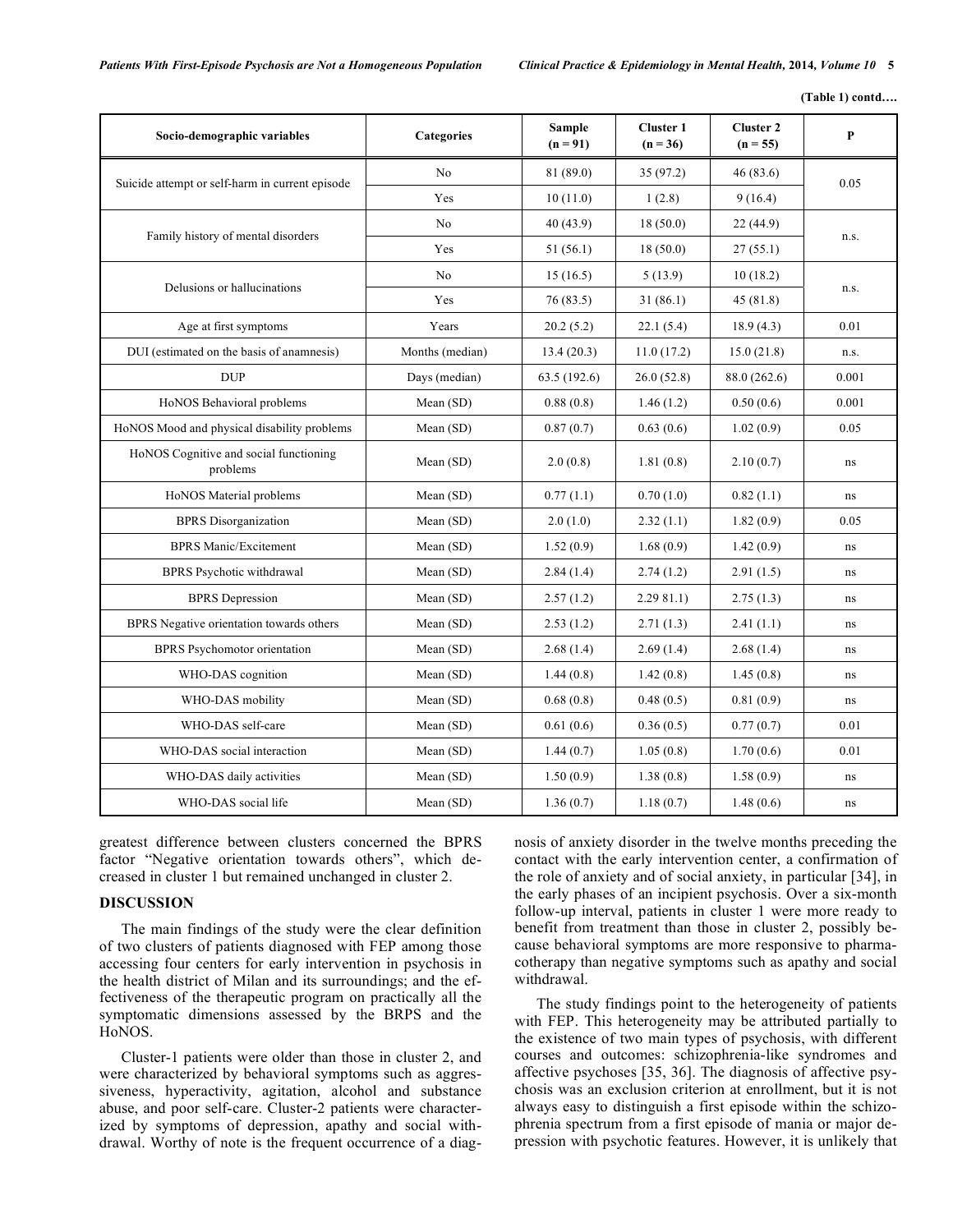**(Table 1) contd….** 

| Socio-demographic variables                        | <b>Categories</b> | <b>Sample</b><br>$(n = 91)$ | <b>Cluster 1</b><br>$(n = 36)$ | <b>Cluster 2</b><br>$(n = 55)$ | P        |  |
|----------------------------------------------------|-------------------|-----------------------------|--------------------------------|--------------------------------|----------|--|
| Suicide attempt or self-harm in current episode    | N <sub>0</sub>    | 81 (89.0)                   | 35(97.2)                       | 46(83.6)                       | 0.05     |  |
|                                                    | Yes               | 10(11.0)                    | 1(2.8)                         | 9(16.4)                        |          |  |
| Family history of mental disorders                 | No                | 40(43.9)                    | 18(50.0)                       | 22(44.9)                       |          |  |
|                                                    | Yes               | 51(56.1)                    | 18(50.0)                       | 27(55.1)                       | n.s.     |  |
| Delusions or hallucinations                        | N <sub>0</sub>    | 15(16.5)                    | 5(13.9)                        | 10(18.2)                       | n.s.     |  |
|                                                    | Yes               | 76(83.5)                    | 31(86.1)                       | 45(81.8)                       |          |  |
| Age at first symptoms                              | Years             | 20.2(5.2)                   | 22.1(5.4)                      | 18.9(4.3)                      | 0.01     |  |
| DUI (estimated on the basis of anamnesis)          | Months (median)   | 13.4(20.3)                  | 11.0(17.2)                     | 15.0(21.8)                     | n.s.     |  |
| <b>DUP</b>                                         | Days (median)     | 63.5 (192.6)                | 26.0(52.8)                     | 88.0 (262.6)                   | 0.001    |  |
| HoNOS Behavioral problems                          | Mean (SD)         | 0.88(0.8)                   | 1.46(1.2)                      | 0.50(0.6)                      | 0.001    |  |
| HoNOS Mood and physical disability problems        | Mean (SD)         | 0.87(0.7)                   | 0.63(0.6)                      | 1.02(0.9)                      | 0.05     |  |
| HoNOS Cognitive and social functioning<br>problems | Mean (SD)         | 2.0(0.8)                    | 1.81(0.8)                      | 2.10(0.7)                      | ns       |  |
| HoNOS Material problems                            | Mean (SD)         | 0.77(1.1)                   | 0.70(1.0)                      | 0.82(1.1)                      | ns       |  |
| <b>BPRS</b> Disorganization                        | Mean (SD)         | 2.0(1.0)                    | 2.32(1.1)                      | 1.82(0.9)                      | 0.05     |  |
| <b>BPRS Manic/Excitement</b>                       | Mean (SD)         | 1.52(0.9)                   | 1.68(0.9)                      | 1.42(0.9)                      | ns       |  |
| <b>BPRS</b> Psychotic withdrawal                   | Mean (SD)         | 2.84(1.4)                   | 2.74(1.2)                      | 2.91(1.5)                      | ns       |  |
| <b>BPRS</b> Depression                             | Mean $(SD)$       | 2.57(1.2)                   | 2.2981.1                       | 2.75(1.3)                      | ns       |  |
| BPRS Negative orientation towards others           | Mean $(SD)$       | 2.53(1.2)                   | 2.71(1.3)                      | 2.41(1.1)                      | ns       |  |
| <b>BPRS</b> Psychomotor orientation                | Mean $(SD)$       | 2.68(1.4)                   | 2.69(1.4)                      | 2.68(1.4)                      | ns       |  |
| WHO-DAS cognition                                  | Mean (SD)         | 1.44(0.8)                   | 1.42(0.8)                      | 1.45(0.8)                      | $\rm ns$ |  |
| WHO-DAS mobility                                   | Mean $(SD)$       | 0.68(0.8)                   | 0.48(0.5)                      | 0.81(0.9)                      | ns       |  |
| WHO-DAS self-care                                  | Mean (SD)         | 0.61(0.6)                   | 0.36(0.5)                      | 0.77(0.7)                      | 0.01     |  |
| WHO-DAS social interaction                         | Mean (SD)         | 1.44(0.7)                   | 1.05(0.8)                      | 1.70(0.6)                      | 0.01     |  |
| WHO-DAS daily activities                           | Mean (SD)         | 1.50(0.9)                   | 1.38(0.8)                      | 1.58(0.9)                      | ns       |  |
| WHO-DAS social life                                | Mean (SD)         | 1.36(0.7)                   | 1.18(0.7)                      | 1.48(0.6)                      | ns       |  |

greatest difference between clusters concerned the BPRS factor "Negative orientation towards others", which decreased in cluster 1 but remained unchanged in cluster 2.

# **DISCUSSION**

The main findings of the study were the clear definition of two clusters of patients diagnosed with FEP among those accessing four centers for early intervention in psychosis in the health district of Milan and its surroundings; and the effectiveness of the therapeutic program on practically all the symptomatic dimensions assessed by the BRPS and the HoNOS.

Cluster-1 patients were older than those in cluster 2, and were characterized by behavioral symptoms such as aggressiveness, hyperactivity, agitation, alcohol and substance abuse, and poor self-care. Cluster-2 patients were characterized by symptoms of depression, apathy and social withdrawal. Worthy of note is the frequent occurrence of a diagnosis of anxiety disorder in the twelve months preceding the contact with the early intervention center, a confirmation of the role of anxiety and of social anxiety, in particular [34], in the early phases of an incipient psychosis. Over a six-month follow-up interval, patients in cluster 1 were more ready to benefit from treatment than those in cluster 2, possibly because behavioral symptoms are more responsive to pharmacotherapy than negative symptoms such as apathy and social withdrawal.

The study findings point to the heterogeneity of patients with FEP. This heterogeneity may be attributed partially to the existence of two main types of psychosis, with different courses and outcomes: schizophrenia-like syndromes and affective psychoses [35, 36]. The diagnosis of affective psychosis was an exclusion criterion at enrollment, but it is not always easy to distinguish a first episode within the schizophrenia spectrum from a first episode of mania or major depression with psychotic features. However, it is unlikely that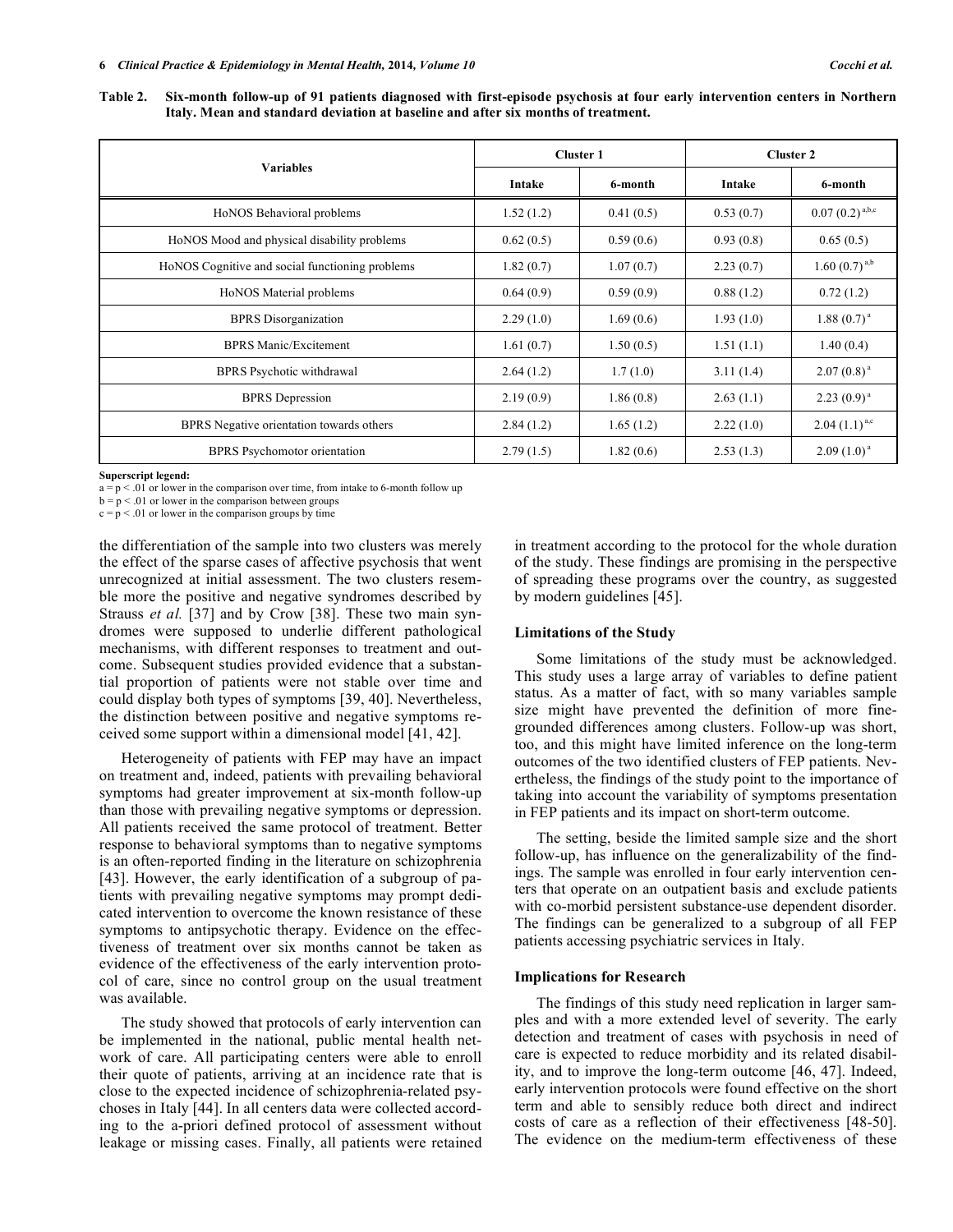**Table 2. Six-month follow-up of 91 patients diagnosed with first-episode psychosis at four early intervention centers in Northern Italy. Mean and standard deviation at baseline and after six months of treatment.** 

|                                                 | <b>Cluster 1</b> |           | <b>Cluster 2</b> |                     |
|-------------------------------------------------|------------------|-----------|------------------|---------------------|
| <b>Variables</b>                                | Intake           | 6-month   | Intake           | 6-month             |
| HoNOS Behavioral problems                       | 1.52(1.2)        | 0.41(0.5) | 0.53(0.7)        | $0.07(0.2)^{a,b,c}$ |
| HoNOS Mood and physical disability problems     | 0.62(0.5)        | 0.59(0.6) | 0.93(0.8)        | 0.65(0.5)           |
| HoNOS Cognitive and social functioning problems | 1.82(0.7)        | 1.07(0.7) | 2.23(0.7)        | 1.60 $(0.7)^{a,b}$  |
| HoNOS Material problems                         | 0.64(0.9)        | 0.59(0.9) | 0.88(1.2)        | 0.72(1.2)           |
| <b>BPRS</b> Disorganization                     | 2.29(1.0)        | 1.69(0.6) | 1.93(1.0)        | $1.88(0.7)^{a}$     |
| <b>BPRS Manic/Excitement</b>                    | 1.61(0.7)        | 1.50(0.5) | 1.51(1.1)        | 1.40(0.4)           |
| BPRS Psychotic withdrawal                       | 2.64(1.2)        | 1.7(1.0)  | 3.11(1.4)        | $2.07(0.8)^{a}$     |
| <b>BPRS</b> Depression                          | 2.19(0.9)        | 1.86(0.8) | 2.63(1.1)        | $2.23(0.9)^{a}$     |
| BPRS Negative orientation towards others        | 2.84(1.2)        | 1.65(1.2) | 2.22(1.0)        | $2.04(1.1)^{a,c}$   |
| <b>BPRS</b> Psychomotor orientation             | 2.79(1.5)        | 1.82(0.6) | 2.53(1.3)        | $2.09(1.0)^{a}$     |

**Superscript legend:** 

 $a = p < 0.01$  or lower in the comparison over time, from intake to 6-month follow up

 $b = p < .01$  or lower in the comparison between groups

 $c = p < .01$  or lower in the comparison groups by time

the differentiation of the sample into two clusters was merely the effect of the sparse cases of affective psychosis that went unrecognized at initial assessment. The two clusters resemble more the positive and negative syndromes described by Strauss *et al.* [37] and by Crow [38]. These two main syndromes were supposed to underlie different pathological mechanisms, with different responses to treatment and outcome. Subsequent studies provided evidence that a substantial proportion of patients were not stable over time and could display both types of symptoms [39, 40]. Nevertheless, the distinction between positive and negative symptoms received some support within a dimensional model [41, 42].

Heterogeneity of patients with FEP may have an impact on treatment and, indeed, patients with prevailing behavioral symptoms had greater improvement at six-month follow-up than those with prevailing negative symptoms or depression. All patients received the same protocol of treatment. Better response to behavioral symptoms than to negative symptoms is an often-reported finding in the literature on schizophrenia [43]. However, the early identification of a subgroup of patients with prevailing negative symptoms may prompt dedicated intervention to overcome the known resistance of these symptoms to antipsychotic therapy. Evidence on the effectiveness of treatment over six months cannot be taken as evidence of the effectiveness of the early intervention protocol of care, since no control group on the usual treatment was available.

The study showed that protocols of early intervention can be implemented in the national, public mental health network of care. All participating centers were able to enroll their quote of patients, arriving at an incidence rate that is close to the expected incidence of schizophrenia-related psychoses in Italy [44]. In all centers data were collected according to the a-priori defined protocol of assessment without leakage or missing cases. Finally, all patients were retained in treatment according to the protocol for the whole duration of the study. These findings are promising in the perspective of spreading these programs over the country, as suggested by modern guidelines [45].

# **Limitations of the Study**

Some limitations of the study must be acknowledged. This study uses a large array of variables to define patient status. As a matter of fact, with so many variables sample size might have prevented the definition of more finegrounded differences among clusters. Follow-up was short, too, and this might have limited inference on the long-term outcomes of the two identified clusters of FEP patients. Nevertheless, the findings of the study point to the importance of taking into account the variability of symptoms presentation in FEP patients and its impact on short-term outcome.

The setting, beside the limited sample size and the short follow-up, has influence on the generalizability of the findings. The sample was enrolled in four early intervention centers that operate on an outpatient basis and exclude patients with co-morbid persistent substance-use dependent disorder. The findings can be generalized to a subgroup of all FEP patients accessing psychiatric services in Italy.

# **Implications for Research**

The findings of this study need replication in larger samples and with a more extended level of severity. The early detection and treatment of cases with psychosis in need of care is expected to reduce morbidity and its related disability, and to improve the long-term outcome [46, 47]. Indeed, early intervention protocols were found effective on the short term and able to sensibly reduce both direct and indirect costs of care as a reflection of their effectiveness [48-50]. The evidence on the medium-term effectiveness of these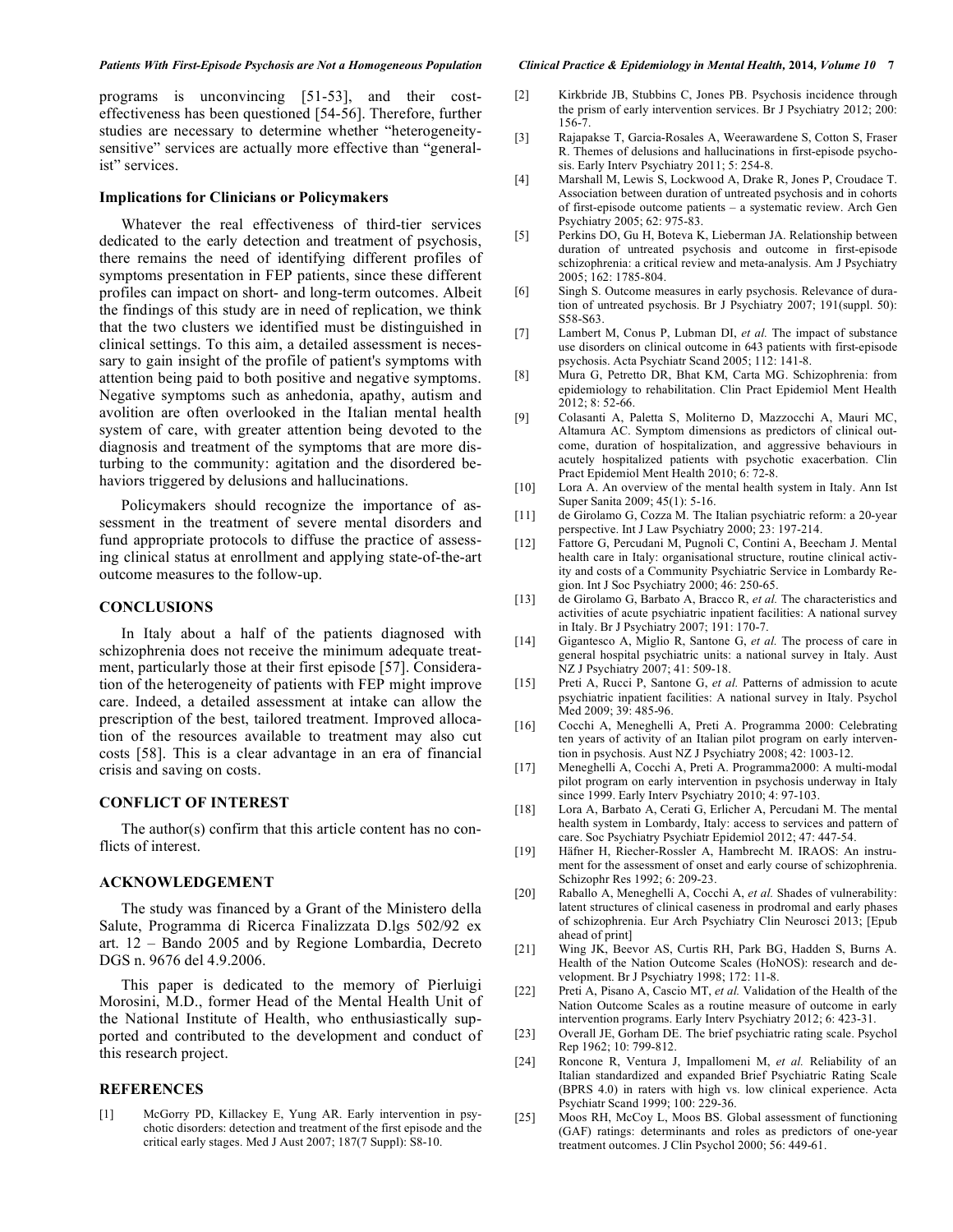programs is unconvincing [51-53], and their costeffectiveness has been questioned [54-56]. Therefore, further studies are necessary to determine whether "heterogeneitysensitive" services are actually more effective than "generalist" services.

# **Implications for Clinicians or Policymakers**

Whatever the real effectiveness of third-tier services dedicated to the early detection and treatment of psychosis, there remains the need of identifying different profiles of symptoms presentation in FEP patients, since these different profiles can impact on short- and long-term outcomes. Albeit the findings of this study are in need of replication, we think that the two clusters we identified must be distinguished in clinical settings. To this aim, a detailed assessment is necessary to gain insight of the profile of patient's symptoms with attention being paid to both positive and negative symptoms. Negative symptoms such as anhedonia, apathy, autism and avolition are often overlooked in the Italian mental health system of care, with greater attention being devoted to the diagnosis and treatment of the symptoms that are more disturbing to the community: agitation and the disordered behaviors triggered by delusions and hallucinations.

Policymakers should recognize the importance of assessment in the treatment of severe mental disorders and fund appropriate protocols to diffuse the practice of assessing clinical status at enrollment and applying state-of-the-art outcome measures to the follow-up.

# **CONCLUSIONS**

In Italy about a half of the patients diagnosed with schizophrenia does not receive the minimum adequate treatment, particularly those at their first episode [57]. Consideration of the heterogeneity of patients with FEP might improve care. Indeed, a detailed assessment at intake can allow the prescription of the best, tailored treatment. Improved allocation of the resources available to treatment may also cut costs [58]. This is a clear advantage in an era of financial crisis and saving on costs.

## **CONFLICT OF INTEREST**

The author(s) confirm that this article content has no conflicts of interest.

# **ACKNOWLEDGEMENT**

The study was financed by a Grant of the Ministero della Salute, Programma di Ricerca Finalizzata D.lgs 502/92 ex art. 12 – Bando 2005 and by Regione Lombardia, Decreto DGS n. 9676 del 4.9.2006.

This paper is dedicated to the memory of Pierluigi Morosini, M.D., former Head of the Mental Health Unit of the National Institute of Health, who enthusiastically supported and contributed to the development and conduct of this research project.

# **REFERENCES**

[1] McGorry PD, Killackey E, Yung AR. Early intervention in psychotic disorders: detection and treatment of the first episode and the critical early stages. Med J Aust 2007; 187(7 Suppl): S8-10.

- [2] Kirkbride JB, Stubbins C, Jones PB. Psychosis incidence through the prism of early intervention services. Br J Psychiatry 2012; 200: 156-7.
- [3] Rajapakse T, Garcia-Rosales A, Weerawardene S, Cotton S, Fraser R. Themes of delusions and hallucinations in first-episode psychosis. Early Interv Psychiatry 2011; 5: 254-8.
- [4] Marshall M, Lewis S, Lockwood A, Drake R, Jones P, Croudace T. Association between duration of untreated psychosis and in cohorts of first-episode outcome patients – a systematic review. Arch Gen Psychiatry 2005; 62: 975-83.
- [5] Perkins DO, Gu H, Boteva K, Lieberman JA. Relationship between duration of untreated psychosis and outcome in first-episode schizophrenia: a critical review and meta-analysis. Am J Psychiatry 2005; 162: 1785-804.
- [6] Singh S. Outcome measures in early psychosis. Relevance of duration of untreated psychosis. Br J Psychiatry 2007; 191(suppl. 50): S58-S63.
- [7] Lambert M, Conus P, Lubman DI, *et al.* The impact of substance use disorders on clinical outcome in 643 patients with first-episode psychosis. Acta Psychiatr Scand 2005; 112: 141-8.
- [8] Mura G, Petretto DR, Bhat KM, Carta MG. Schizophrenia: from epidemiology to rehabilitation. Clin Pract Epidemiol Ment Health  $2012$ ; 8: 52-66.
- [9] Colasanti A, Paletta S, Moliterno D, Mazzocchi A, Mauri MC, Altamura AC. Symptom dimensions as predictors of clinical outcome, duration of hospitalization, and aggressive behaviours in acutely hospitalized patients with psychotic exacerbation. Clin Pract Epidemiol Ment Health 2010; 6: 72-8.
- [10] Lora A. An overview of the mental health system in Italy. Ann Ist Super Sanita 2009; 45(1): 5-16.
- [11] de Girolamo G, Cozza M. The Italian psychiatric reform: a 20-year perspective. Int J Law Psychiatry 2000; 23: 197-214.
- [12] Fattore G, Percudani M, Pugnoli C, Contini A, Beecham J. Mental health care in Italy: organisational structure, routine clinical activity and costs of a Community Psychiatric Service in Lombardy Region. Int J Soc Psychiatry 2000; 46: 250-65.
- [13] de Girolamo G, Barbato A, Bracco R, *et al.* The characteristics and activities of acute psychiatric inpatient facilities: A national survey in Italy. Br J Psychiatry 2007; 191: 170-7.
- [14] Gigantesco A, Miglio R, Santone G, *et al.* The process of care in general hospital psychiatric units: a national survey in Italy. Aust NZ J Psychiatry 2007; 41: 509-18.
- [15] Preti A, Rucci P, Santone G, *et al.* Patterns of admission to acute psychiatric inpatient facilities: A national survey in Italy. Psychol Med 2009; 39: 485-96.
- [16] Cocchi A, Meneghelli A, Preti A. Programma 2000: Celebrating ten years of activity of an Italian pilot program on early intervention in psychosis. Aust NZ J Psychiatry 2008; 42: 1003-12.
- [17] Meneghelli A, Cocchi A, Preti A. Programma2000: A multi-modal pilot program on early intervention in psychosis underway in Italy since 1999. Early Interv Psychiatry 2010; 4: 97-103.
- [18] Lora A, Barbato A, Cerati G, Erlicher A, Percudani M. The mental health system in Lombardy, Italy: access to services and pattern of care. Soc Psychiatry Psychiatr Epidemiol 2012; 47: 447-54.
- [19] Häfner H, Riecher-Rossler A, Hambrecht M. IRAOS: An instrument for the assessment of onset and early course of schizophrenia. Schizophr Res 1992; 6: 209-23.
- [20] Raballo A, Meneghelli A, Cocchi A, *et al.* Shades of vulnerability: latent structures of clinical caseness in prodromal and early phases of schizophrenia. Eur Arch Psychiatry Clin Neurosci 2013; [Epub ahead of print]
- [21] Wing JK, Beevor AS, Curtis RH, Park BG, Hadden S, Burns A. Health of the Nation Outcome Scales (HoNOS): research and development. Br J Psychiatry 1998; 172: 11-8.
- [22] Preti A, Pisano A, Cascio MT, *et al.* Validation of the Health of the Nation Outcome Scales as a routine measure of outcome in early intervention programs. Early Interv Psychiatry 2012; 6: 423-31.
- [23] Overall JE, Gorham DE. The brief psychiatric rating scale. Psychol Rep 1962; 10: 799-812.
- [24] Roncone R, Ventura J, Impallomeni M, *et al.* Reliability of an Italian standardized and expanded Brief Psychiatric Rating Scale (BPRS 4.0) in raters with high vs. low clinical experience. Acta Psychiatr Scand 1999; 100: 229-36.
- [25] Moos RH, McCoy L, Moos BS. Global assessment of functioning (GAF) ratings: determinants and roles as predictors of one-year treatment outcomes. J Clin Psychol 2000; 56: 449-61.